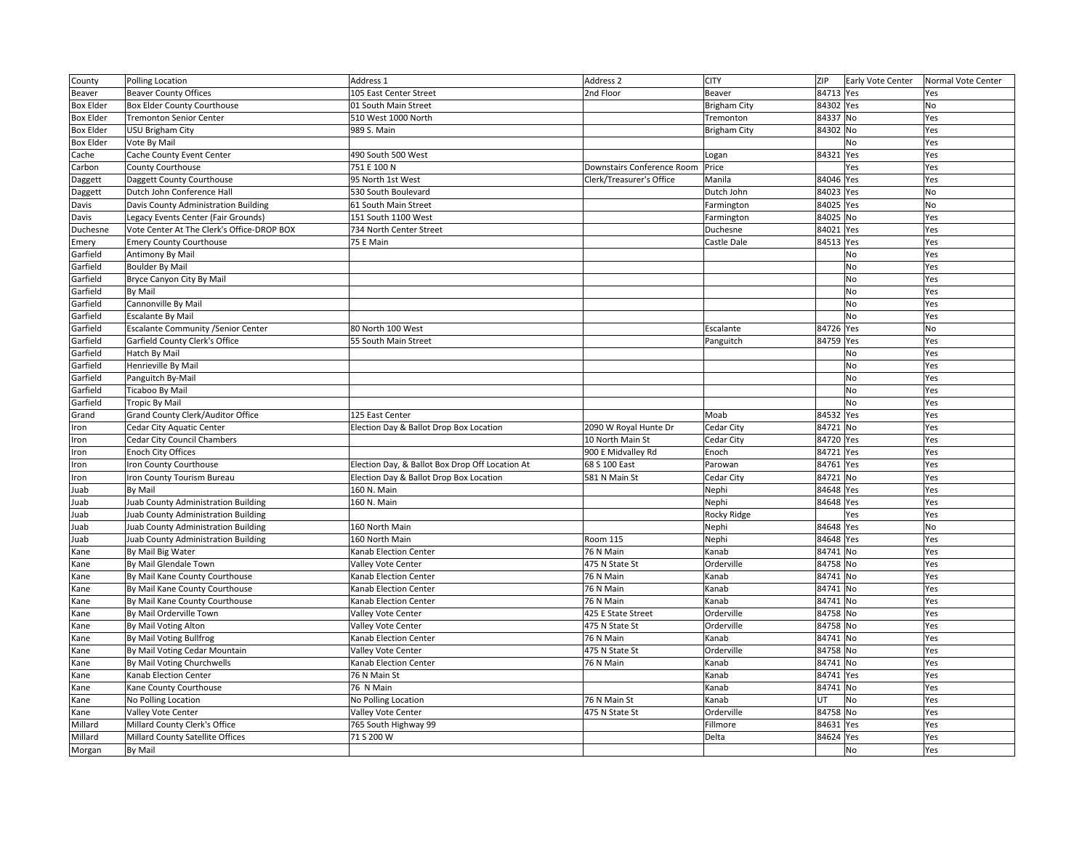| County           | Polling Location                           | Address 1                                       | Address 2                  | <b>CITY</b>         | ZIP       | Early Vote Center | Normal Vote Center |
|------------------|--------------------------------------------|-------------------------------------------------|----------------------------|---------------------|-----------|-------------------|--------------------|
| Beaver           | <b>Beaver County Offices</b>               | 105 East Center Street                          | 2nd Floor                  | Beaver              | 84713 Yes |                   | Yes                |
| <b>Box Elder</b> | <b>Box Elder County Courthouse</b>         | 01 South Main Street                            |                            | <b>Brigham City</b> | 84302 Yes |                   | No                 |
| <b>Box Elder</b> | <b>Tremonton Senior Center</b>             | 510 West 1000 North                             |                            | Tremonton           | 84337 No  |                   | Yes                |
| <b>Box Elder</b> | USU Brigham City                           | 989 S. Main                                     |                            | <b>Brigham City</b> | 84302 No  |                   | Yes                |
| <b>Box Elder</b> | Vote By Mail                               |                                                 |                            |                     |           | No                | Yes                |
| Cache            | Cache County Event Center                  | 490 South 500 West                              |                            | Logan               | 84321     | Yes               | Yes                |
| Carbon           | County Courthouse                          | 751 E 100 N                                     | Downstairs Conference Room | Price               |           | Yes               | Yes                |
| Daggett          | Daggett County Courthouse                  | 95 North 1st West                               | Clerk/Treasurer's Office   | Manila              | 84046 Yes |                   | Yes                |
| Daggett          | Dutch John Conference Hall                 | 530 South Boulevard                             |                            | Dutch John          | 84023 Yes |                   | No                 |
| Davis            | Davis County Administration Building       | 61 South Main Street                            |                            | Farmington          | 84025 Yes |                   | No                 |
| Davis            | Legacy Events Center (Fair Grounds)        | 151 South 1100 West                             |                            | Farmington          | 84025 No  |                   | Yes                |
| Duchesne         | Vote Center At The Clerk's Office-DROP BOX | 734 North Center Street                         |                            | Duchesne            | 84021 Yes |                   | Yes                |
| Emery            | <b>Emery County Courthouse</b>             | 75 E Main                                       |                            | Castle Dale         | 84513 Yes |                   | Yes                |
| Garfield         | Antimony By Mail                           |                                                 |                            |                     |           | No                | Yes                |
| Garfield         | <b>Boulder By Mail</b>                     |                                                 |                            |                     |           | No                | Yes                |
| Garfield         | Bryce Canyon City By Mail                  |                                                 |                            |                     |           | <b>No</b>         | Yes                |
| Garfield         | By Mail                                    |                                                 |                            |                     |           | <b>No</b>         | Yes                |
| Garfield         | Cannonville By Mail                        |                                                 |                            |                     |           | No                | Yes                |
| Garfield         | <b>Escalante By Mail</b>                   |                                                 |                            |                     |           | No                | Yes                |
| Garfield         | <b>Escalante Community / Senior Center</b> | 80 North 100 West                               |                            | Escalante           | 84726 Yes |                   | <b>No</b>          |
| Garfield         | Garfield County Clerk's Office             | 55 South Main Street                            |                            | Panguitch           | 84759 Yes |                   | Yes                |
| Garfield         | Hatch By Mail                              |                                                 |                            |                     |           | No                | Yes                |
| Garfield         | Henrieville By Mail                        |                                                 |                            |                     |           | No                | Yes                |
| Garfield         | Panguitch By-Mail                          |                                                 |                            |                     |           | <b>No</b>         | Yes                |
| Garfield         | Ticaboo By Mail                            |                                                 |                            |                     |           | <b>No</b>         | Yes                |
| Garfield         | <b>Tropic By Mail</b>                      |                                                 |                            |                     |           | <b>No</b>         | Yes                |
| Grand            | Grand County Clerk/Auditor Office          | 125 East Center                                 |                            | Moab                | 84532 Yes |                   | Yes                |
| Iron             | Cedar City Aquatic Center                  | Election Day & Ballot Drop Box Location         | 2090 W Royal Hunte Dr      | Cedar City          | 84721 No  |                   | Yes                |
| Iron             | Cedar City Council Chambers                |                                                 | 10 North Main St           | Cedar City          | 84720 Yes |                   | Yes                |
| Iron             | Enoch City Offices                         |                                                 | 900 E Midvalley Rd         | Enoch               | 84721 Yes |                   | Yes                |
| ron              | ron County Courthouse                      | Election Day, & Ballot Box Drop Off Location At | 68 S 100 East              | Parowan             | 84761 Yes |                   | Yes                |
| Iron             | ron County Tourism Bureau                  | Election Day & Ballot Drop Box Location         | 581 N Main St              | Cedar City          | 84721 No  |                   | Yes                |
| Juab             | By Mail                                    | 160 N. Main                                     |                            | Nephi               | 84648 Yes |                   | Yes                |
| Juab             | Juab County Administration Building        | 160 N. Main                                     |                            | Nephi               | 84648 Yes |                   | Yes                |
| Juab             | Juab County Administration Building        |                                                 |                            | Rocky Ridge         |           | Yes               | Yes                |
| Juab             | Juab County Administration Building        | 160 North Main                                  |                            | Nephi               | 84648 Yes |                   | No                 |
| Juab             | Juab County Administration Building        | 160 North Main                                  | Room 115                   | Nephi               | 84648 Yes |                   | Yes                |
| Kane             | By Mail Big Water                          | Kanab Election Center                           | 76 N Main                  | Kanab               | 84741 No  |                   | Yes                |
| Kane             | By Mail Glendale Town                      | Valley Vote Center                              | 475 N State St             | Orderville          | 84758 No  |                   | Yes                |
| Kane             | By Mail Kane County Courthouse             | Kanab Election Center                           | 76 N Main                  | Kanab               | 84741 No  |                   | Yes                |
| Kane             | By Mail Kane County Courthouse             | Kanab Election Center                           | 76 N Main                  | Kanab               | 84741 No  |                   | Yes                |
| Kane             | By Mail Kane County Courthouse             | Kanab Election Center                           | 76 N Main                  | Kanab               | 84741 No  |                   | Yes                |
| Kane             | By Mail Orderville Town                    | Valley Vote Center                              | 425 E State Street         | Orderville          | 84758 No  |                   | Yes                |
| Kane             | By Mail Voting Alton                       | Valley Vote Center                              | 475 N State St             | Orderville          | 84758 No  |                   | Yes                |
| Kane             | By Mail Voting Bullfrog                    | Kanab Election Center                           | 76 N Main                  | Kanab               | 84741 No  |                   | Yes                |
| Kane             | By Mail Voting Cedar Mountain              | Valley Vote Center                              | 475 N State St             | Orderville          | 84758 No  |                   | Yes                |
| Kane             | By Mail Voting Churchwells                 | Kanab Election Center                           | 76 N Main                  | Kanab               | 84741 No  |                   | Yes                |
| Kane             | <b>Kanab Election Center</b>               | 76 N Main St                                    |                            | Kanab               | 84741 Yes |                   | Yes                |
| Kane             | Kane County Courthouse                     | 76 N Main                                       |                            | Kanab               | 84741 No  |                   | Yes                |
| Kane             | No Polling Location                        | No Polling Location                             | 76 N Main St               | Kanab               | UT        | No                | Yes                |
| Kane             | Valley Vote Center                         | Valley Vote Center                              | 475 N State St             | Orderville          | 84758 No  |                   | Yes                |
| Millard          | Millard County Clerk's Office              | 765 South Highway 99                            |                            | Fillmore            | 84631 Yes |                   | Yes                |
| Millard          | Millard County Satellite Offices           | 71 S 200 W                                      |                            | Delta               | 84624 Yes |                   | Yes                |
| Morgan           | By Mail                                    |                                                 |                            |                     |           | No                | Yes                |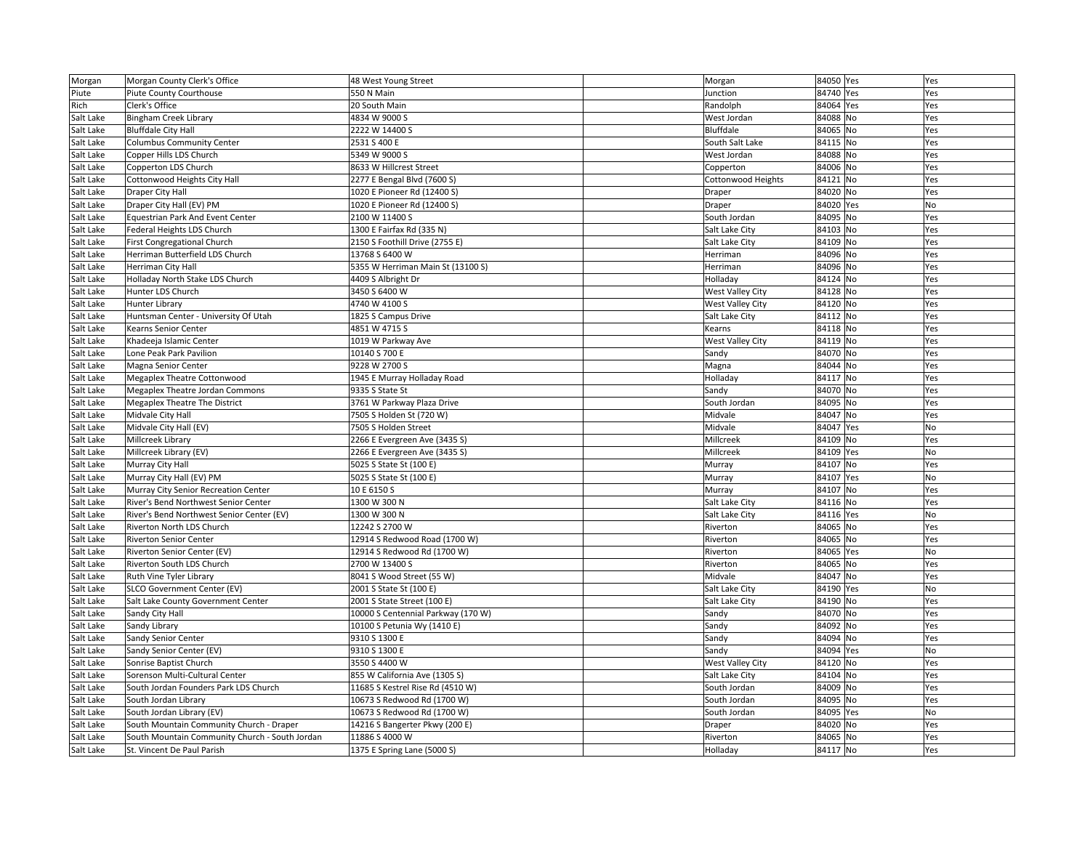| Morgan    | Morgan County Clerk's Office                   | 48 West Young Street               | Morgan                  | 84050 Yes | Yes |
|-----------|------------------------------------------------|------------------------------------|-------------------------|-----------|-----|
| Piute     | Piute County Courthouse                        | 550 N Main                         | Junction                | 84740 Yes | Yes |
| Rich      | Clerk's Office                                 | 20 South Main                      | Randolph                | 84064 Yes | Yes |
| Salt Lake | Bingham Creek Library                          | 4834 W 9000 S                      | West Jordan             | 84088 No  | Yes |
| Salt Lake | <b>Bluffdale City Hall</b>                     | 2222 W 14400 S                     | Bluffdale               | 84065 No  | Yes |
| Salt Lake | <b>Columbus Community Center</b>               | 2531 S 400 E                       | South Salt Lake         | 84115 No  | Yes |
| Salt Lake | Copper Hills LDS Church                        | 5349 W 9000 S                      | West Jordan             | 84088 No  | Yes |
| Salt Lake | Copperton LDS Church                           | 8633 W Hillcrest Street            | Copperton               | 84006 No  | Yes |
| Salt Lake | Cottonwood Heights City Hall                   | 2277 E Bengal Blvd (7600 S)        | Cottonwood Heights      | 84121 No  | Yes |
| Salt Lake | Draper City Hall                               | 1020 E Pioneer Rd (12400 S)        | Draper                  | 84020 No  | Yes |
| Salt Lake | Draper City Hall (EV) PM                       | 1020 E Pioneer Rd (12400 S)        | Draper                  | 84020 Yes | No  |
| Salt Lake | Equestrian Park And Event Center               | 2100 W 11400 S                     | South Jordan            | 84095 No  | Yes |
| Salt Lake | Federal Heights LDS Church                     | 1300 E Fairfax Rd (335 N)          | Salt Lake City          | 84103 No  | Yes |
| Salt Lake | First Congregational Church                    | 2150 S Foothill Drive (2755 E)     | Salt Lake City          | 84109 No  | Yes |
| Salt Lake | Herriman Butterfield LDS Church                | 13768 S 6400 W                     | Herriman                | 84096 No  | Yes |
| Salt Lake | Herriman City Hall                             | 5355 W Herriman Main St (13100 S)  | Herriman                | 84096 No  | Yes |
| Salt Lake | Holladay North Stake LDS Church                | 4409 S Albright Dr                 | Holladay                | 84124 No  | Yes |
| Salt Lake | Hunter LDS Church                              | 3450 S 6400 W                      | West Valley City        | 84128 No  | Yes |
| Salt Lake | <b>Hunter Library</b>                          | 4740 W 4100 S                      | West Valley City        | 84120 No  | Yes |
| Salt Lake | Huntsman Center - University Of Utah           | 1825 S Campus Drive                | Salt Lake City          | 84112 No  | Yes |
| Salt Lake | Kearns Senior Center                           | 4851 W 4715 S                      | Kearns                  | 84118 No  | Yes |
| Salt Lake | Khadeeja Islamic Center                        | 1019 W Parkway Ave                 | <b>West Valley City</b> | 84119 No  | Yes |
| Salt Lake | Lone Peak Park Pavilion                        | 10140 S 700 E                      | Sandy                   | 84070 No  | Yes |
| Salt Lake | Magna Senior Center                            | 9228 W 2700 S                      | Magna                   | 84044 No  | Yes |
|           | <b>Megaplex Theatre Cottonwood</b>             | 1945 E Murray Holladay Road        | Holladay                | 84117 No  | Yes |
| Salt Lake |                                                |                                    |                         |           |     |
| Salt Lake | Megaplex Theatre Jordan Commons                | 9335 S State St                    | Sandy                   | 84070 No  | Yes |
| Salt Lake | <b>Megaplex Theatre The District</b>           | 3761 W Parkway Plaza Drive         | South Jordan            | 84095 No  | Yes |
| Salt Lake | Midvale City Hall                              | 7505 S Holden St (720 W)           | Midvale                 | 84047 No  | Yes |
| Salt Lake | Midvale City Hall (EV)                         | 7505 S Holden Street               | Midvale                 | 84047 Yes | No  |
| Salt Lake | Millcreek Library                              | 2266 E Evergreen Ave (3435 S)      | Millcreek               | 84109 No  | Yes |
| Salt Lake | Millcreek Library (EV)                         | 2266 E Evergreen Ave (3435 S)      | Millcreek               | 84109 Yes | No  |
| Salt Lake | Murray City Hall                               | 5025 S State St (100 E)            | Murray                  | 84107 No  | Yes |
| Salt Lake | Murray City Hall (EV) PM                       | 5025 S State St (100 E)            | Murray                  | 84107 Yes | No  |
| Salt Lake | Murray City Senior Recreation Center           | 10 E 6150 S                        | Murray                  | 84107 No  | Yes |
| Salt Lake | River's Bend Northwest Senior Center           | 1300 W 300 N                       | Salt Lake City          | 84116 No  | Yes |
| Salt Lake | River's Bend Northwest Senior Center (EV)      | 1300 W 300 N                       | Salt Lake City          | 84116 Yes | No  |
| Salt Lake | Riverton North LDS Church                      | 12242 S 2700 W                     | Riverton                | 84065 No  | Yes |
| Salt Lake | <b>Riverton Senior Center</b>                  | 12914 S Redwood Road (1700 W)      | Riverton                | 84065 No  | Yes |
| Salt Lake | Riverton Senior Center (EV)                    | 12914 S Redwood Rd (1700 W)        | Riverton                | 84065 Yes | No  |
| Salt Lake | Riverton South LDS Church                      | 2700 W 13400 S                     | Riverton                | 84065 No  | Yes |
| Salt Lake | Ruth Vine Tyler Library                        | 8041 S Wood Street (55 W)          | Midvale                 | 84047 No  | Yes |
| Salt Lake | SLCO Government Center (EV)                    | 2001 S State St (100 E)            | Salt Lake City          | 84190 Yes | No  |
| Salt Lake | Salt Lake County Government Center             | 2001 S State Street (100 E)        | Salt Lake City          | 84190 No  | Yes |
| Salt Lake | Sandy City Hall                                | 10000 S Centennial Parkway (170 W) | Sandy                   | 84070 No  | Yes |
| Salt Lake | Sandy Library                                  | 10100 S Petunia Wy (1410 E)        | Sandy                   | 84092 No  | Yes |
| Salt Lake | Sandy Senior Center                            | 9310 S 1300 E                      | Sandy                   | 84094 No  | Yes |
| Salt Lake | Sandy Senior Center (EV)                       | 9310 S 1300 E                      | Sandy                   | 84094 Yes | No  |
| Salt Lake | Sonrise Baptist Church                         | 3550 S 4400 W                      | West Valley City        | 84120 No  | Yes |
| Salt Lake | Sorenson Multi-Cultural Center                 | 855 W California Ave (1305 S)      | Salt Lake City          | 84104 No  | Yes |
| Salt Lake | South Jordan Founders Park LDS Church          | 11685 S Kestrel Rise Rd (4510 W)   | South Jordan            | 84009 No  | Yes |
| Salt Lake | South Jordan Library                           | 10673 S Redwood Rd (1700 W)        | South Jordan            | 84095 No  | Yes |
| Salt Lake | South Jordan Library (EV)                      | 10673 S Redwood Rd (1700 W)        | South Jordan            | 84095 Yes | No  |
| Salt Lake | South Mountain Community Church - Draper       | 14216 S Bangerter Pkwy (200 E)     | Draper                  | 84020 No  | Yes |
| Salt Lake | South Mountain Community Church - South Jordan | 11886 S 4000 W                     | Riverton                | 84065 No  | Yes |
| Salt Lake | St. Vincent De Paul Parish                     | 1375 E Spring Lane (5000 S)        | Holladay                | 84117 No  | Yes |